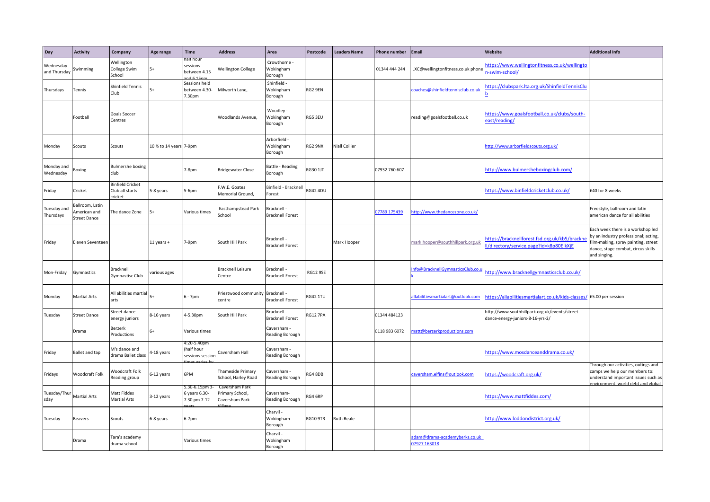| Day                       | <b>Activity</b>                                       | Company                                                     | Age range                | <b>Time</b>                                 | <b>Address</b>                                      | Area                                   | Postcode        | <b>Leaders Name</b>  | <b>Phone number</b> | <b>Email</b>                                 | Website                                                                                  | <b>Additional Info</b>                                                                                                                                                 |
|---------------------------|-------------------------------------------------------|-------------------------------------------------------------|--------------------------|---------------------------------------------|-----------------------------------------------------|----------------------------------------|-----------------|----------------------|---------------------|----------------------------------------------|------------------------------------------------------------------------------------------|------------------------------------------------------------------------------------------------------------------------------------------------------------------------|
| Wednesday<br>and Thursday | Swimming                                              | Wellington<br>College Swim<br>School                        | $5+$                     | alt hour<br>sessions<br>between 4.15        | <b>Nellington College</b>                           | Crowthorne -<br>Wokingham<br>Borough   |                 |                      | 01344 444 244       | LXC@wellingtonfitness.co.uk phone            | https://www.wellingtonfitness.co.uk/wellingto<br>n-swim-school/                          |                                                                                                                                                                        |
| Thursdays                 | Tennis                                                | <b>Shinfield Tennis</b><br>Club                             | 54                       | Sessions held<br>between 4.30-<br>7.30pm    | Milworth Lane,                                      | Shinfield -<br>Wokingham<br>Borough    | RG2 9EN         |                      |                     | oaches@shinfieldtennisclub.co.uk             | https://clubspark.lta.org.uk/ShinfieldTennisClu                                          |                                                                                                                                                                        |
|                           | Football                                              | <b>Goals Soccer</b><br>Centres                              |                          |                                             | Woodlands Avenue,                                   | Woodley -<br>Wokingham<br>Borough      | RG5 3EU         |                      |                     | reading@goalsfootball.co.uk                  | https://www.goalsfootball.co.uk/clubs/south-<br>east/reading/                            |                                                                                                                                                                        |
| Monday                    | Scouts                                                | Scouts                                                      | 10 1/2 to 14 years 7-9pm |                                             |                                                     | Arborfield -<br>Wokingham<br>Borough   | RG2 9NX         | <b>Niall Collier</b> |                     |                                              | http://www.arborfieldscouts.org.uk/                                                      |                                                                                                                                                                        |
| Monday and<br>Wednesday   | Boxing                                                | <b>Bulmershe boxing</b><br>club                             |                          | 7-8pm                                       | <b>Bridgewater Close</b>                            | <b>Battle - Reading</b><br>Borough     | RG30 1JT        |                      | 07932 760 607       |                                              | http://www.bulmersheboxingclub.com/                                                      |                                                                                                                                                                        |
| Friday                    | Cricket                                               | <b>Binfield Cricket</b><br>Club all starts<br><b>ricket</b> | 5-8 years                | 5-6pm                                       | F.W.E. Goates<br>Memorial Ground,                   | Binfield - Bracknel<br>orest           | RG42 4DU        |                      |                     |                                              | https://www.binfieldcricketclub.co.uk/                                                   | £40 for 8 weeks                                                                                                                                                        |
| Tuesday and<br>Thursdays  | Ballroom, Latin<br>merican and<br><b>Street Dance</b> | The dance Zone                                              | 5+                       | Various times                               | Easthampstead Park<br>ichool                        | Bracknell -<br><b>Bracknell Forest</b> |                 |                      | 07789 175439        | http://www.thedancezone.co.uk/               |                                                                                          | Freestyle, ballroom and latin<br>american dance for all abilities                                                                                                      |
| Friday                    | Eleven Seventeen                                      |                                                             | $11$ years +             | 7-9pm                                       | South Hill Park                                     | Bracknell -<br><b>Bracknell Forest</b> |                 | Mark Hooper          |                     | mark.hooper@southhillpark.org.uk             | https://bracknellforest.fsd.org.uk/kb5/brackn<br>l/directory/service.page?id=k8p80EikXjE | Each week there is a workshop led<br>by an industry professional; acting,<br>film-making, spray painting, street<br>dance, stage combat, circus skills<br>and singing. |
| Mon-Friday                | iymnastics                                            | Bracknell<br><b>Gymnastisc Club</b>                         | various ages             |                                             | Bracknell Leisure<br>Centre                         | Bracknell -<br><b>Bracknell Forest</b> | <b>RG12 9SE</b> |                      |                     | nfo@BracknellGymnasticsClub.co.              | http://www.bracknellgymnasticsclub.co.uk/                                                |                                                                                                                                                                        |
| Monday                    | <b>Martial Arts</b>                                   | All abilities martial<br>arts                               | $5+$                     | $6 - 7pm$                                   | Priestwood community Bracknell -<br>centre          | <b>Bracknell Forest</b>                | <b>RG42 1TU</b> |                      |                     | allabilitiesmartialart@outlook.com           | https://allabilitiesmartialart.co.uk/kids-classes                                        | / £5.00 per session                                                                                                                                                    |
| Tuesday                   | <b>Street Dance</b>                                   | Street dance<br>nergy juniors                               | 8-16 years               | 4-5.30pm                                    | South Hill Park                                     | Bracknell -<br>Bracknell Forest        | <b>RG12 7PA</b> |                      | 01344 484123        |                                              | http://www.southhillpark.org.uk/events/street-<br>dance-energy-juniors-8-16-yrs-2/       |                                                                                                                                                                        |
|                           | Drama                                                 | Berzerk<br>Productions                                      | $6+$                     | Various times                               |                                                     | Caversham -<br>Reading Borough         |                 |                      | 0118 983 6072       | matt@berzerkproductions.com                  |                                                                                          |                                                                                                                                                                        |
| Friday                    | Ballet and tap                                        | M's dance and<br>drama Ballet class                         | -18 years                | :20-5.40pm<br>half hour<br>sessions session | Caversham Hall                                      | Caversham -<br>Reading Borough         |                 |                      |                     |                                              | https://www.mosdanceanddrama.co.uk/                                                      |                                                                                                                                                                        |
| Fridays                   | Woodcraft Folk                                        | Woodcraft Folk<br>Reading group                             | 6-12 years               | 6PM                                         | Thameside Primary<br>School, Harley Road            | Caversham -<br>Reading Borough         | RG4 8DB         |                      |                     | caversham.elfins@outlook.com                 | https://woodcraft.org.uk/                                                                | Through our activities, outings and<br>camps we help our members to:<br>understand important issues such as<br>nvironment, world debt and global                       |
| Tuesday/Thu<br>sday       | <b>Martial Arts</b>                                   | Matt Fiddes<br><b>Martial Arts</b>                          | 3-12 years               | .30-6.15pm 3<br>years 6.30-<br>7.30 pm 7-12 | Laversham Park<br>Primary School,<br>Caversham Park | Caversham-<br>Reading Borough          | RG4 6RP         |                      |                     |                                              | https://www.mattfiddes.com/                                                              |                                                                                                                                                                        |
| Tuesday                   | Beavers                                               | Scouts                                                      | 6-8 years                | 6-7pm                                       |                                                     | Charvil -<br>Wokingham<br>Borough      | <b>RG10 9TR</b> | Ruth Beale           |                     |                                              | http://www.loddondistrict.org.uk/                                                        |                                                                                                                                                                        |
|                           | Drama                                                 | Tara's academy<br>drama school                              |                          | Various times                               |                                                     | Charvil<br>Wokingham<br>Borough        |                 |                      |                     | adam@drama-academyberks.co.uk<br>7927 163018 |                                                                                          |                                                                                                                                                                        |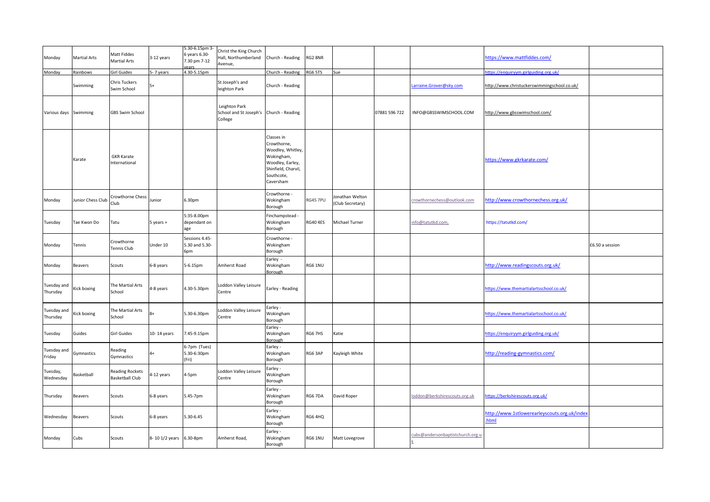| Monday                  | <b>Martial Arts</b> | Matt Fiddes<br><b>Martial Arts</b>               | 3-12 years              | 5.30-6.15pm 3-<br>6 years 6.30-<br>7.30 pm 7-12<br>ears | Christ the King Church<br>Hall, Northumberland<br>Avenue,           | Church - Reading                                                                                                                   | RG2 8NR         |                                     |               |                                  | https://www.mattfiddes.com/                          |                 |
|-------------------------|---------------------|--------------------------------------------------|-------------------------|---------------------------------------------------------|---------------------------------------------------------------------|------------------------------------------------------------------------------------------------------------------------------------|-----------------|-------------------------------------|---------------|----------------------------------|------------------------------------------------------|-----------------|
| Monday                  | Rainbows            | <b>Girl Guides</b>                               | 5-7 years               | 4.30-5.15pm                                             |                                                                     | Church - Reading                                                                                                                   | RG6 5TS         | Sue                                 |               |                                  | ttps://enquiryym.girlguiding.org.uk/                 |                 |
|                         | Swimming            | <b>Chris Tuckers</b><br>Swim School              | $5+$                    |                                                         | St Joseph's and<br>leighton Park                                    | Church - Reading                                                                                                                   |                 |                                     |               | Larraine.Grover@sky.com          | http://www.christuckerswimmingschool.co.uk/          |                 |
| Various days Swimming   |                     | <b>GBS Swim School</b>                           |                         |                                                         | Leighton Park<br>School and St Joseph's Church - Reading<br>College |                                                                                                                                    |                 |                                     | 07881 596 722 | INFO@GBSSWIMSCHOOL.COM           | http://www.gbsswimschool.com/                        |                 |
|                         | Karate              | <b>GKR Karate</b><br>International               |                         |                                                         |                                                                     | Classes in<br>Crowthorne,<br>Woodley, Whitley,<br>Wokingham,<br>Woodley, Earley,<br>Shinfield, Charvil,<br>Southcote,<br>Caversham |                 |                                     |               |                                  | https://www.gkrkarate.com/                           |                 |
| Monday                  | Junior Chess Club   | Crowthorne Chess<br>Club                         | Junior                  | 6.30pm                                                  |                                                                     | Crowthorne -<br>Wokingham<br>Borough                                                                                               | RG45 7PU        | Ionathan Welton<br>(Club Secretary) |               | crowthornechess@outlook.com      | http://www.crowthornechess.org.uk/                   |                 |
| Tuesday                 | Tae Kwon Do         | Tatu                                             | 5 years +               | 5:35-8.00pm<br>dependant on<br>age                      |                                                                     | Finchampstead -<br>Wokingham<br>Borough                                                                                            | <b>RG40 4ES</b> | Michael Turner                      |               | info@tatutkd.com,                | https://tatutkd.com/                                 |                 |
| Monday                  | Tennis              | Crowthorne<br>Tennis Club                        | Under 10                | Sessions 4.45-<br>5.30 and 5.30-<br>6pm                 |                                                                     | Crowthorne -<br>Wokingham<br>Borough                                                                                               |                 |                                     |               |                                  |                                                      | £6.50 a session |
| Monday                  | Beavers             | Scouts                                           | 6-8 years               | 5-6.15pm                                                | Amherst Road                                                        | Earley -<br>Wokingham<br>Borough                                                                                                   | RG6 1NU         |                                     |               |                                  | http://www.readingscouts.org.uk/                     |                 |
| Tuesday and<br>Thursday | Kick boxing         | The Martial Arts<br>School                       | 4-8 years               | 4.30-5.30pm                                             | Loddon Valley Leisure<br>Centre                                     | Earley - Reading                                                                                                                   |                 |                                     |               |                                  | https://www.themartialartsschool.co.uk/              |                 |
| Tuesday and<br>Thursday | Kick boxing         | The Martial Arts<br>School                       | $8+$                    | 5.30-6.30pm                                             | oddon Valley Leisure<br>Centre                                      | Earley -<br>Wokingham<br>Borough                                                                                                   |                 |                                     |               |                                  | https://www.themartialartsschool.co.uk/              |                 |
| Tuesday                 | Guides              | <b>Girl Guides</b>                               | 10-14 years             | 7.45-9.15pm                                             |                                                                     | Earley -<br>Wokingham<br>Borough                                                                                                   | RG6 7HS         | Katie                               |               |                                  | https://enquiryym.girlguiding.org.uk/                |                 |
| Tuesday and<br>Friday   | Gymnastics          | Reading<br>Gymnastics                            | $4+$                    | 6-7pm (Tues)<br>5.30-6:30pm<br>(Fri)                    |                                                                     | Earley -<br>Wokingham<br>Borough                                                                                                   | RG6 3AP         | Kayleigh White                      |               |                                  | http://reading-gymnastics.com/                       |                 |
| Tuesday,<br>Wednesday   | Basketball          | <b>Reading Rockets</b><br><b>Basketball Club</b> | 4-12 years              | 4-5pm                                                   | Loddon Valley Leisure<br>Centre                                     | Earley -<br>Wokingham<br>Borough                                                                                                   |                 |                                     |               |                                  |                                                      |                 |
| Thursday                | Beavers             | Scouts                                           | 6-8 years               | 5.45-7pm                                                |                                                                     | Earley -<br>Wokingham<br>Borough                                                                                                   | RG6 7DA         | David Roper                         |               | loddon@berkshirescouts.org.uk    | https://berkshirescouts.org.uk/                      |                 |
| Wednesday               | Beavers             | Scouts                                           | 6-8 years               | 5.30-6.45                                               |                                                                     | Earley -<br>Wokingham<br>Borough                                                                                                   | RG6 4HQ         |                                     |               |                                  | http://www.1stlowerearleyscouts.org.uk/index<br>html |                 |
| Monday                  | Cubs                | Scouts                                           | 8-10 1/2 years 6.30-8pm |                                                         | Amherst Road,                                                       | Earley -<br>Wokingham<br>Borough                                                                                                   | RG6 1NU         | Matt Lovegrove                      |               | cubs@andersonbaptistchurch.org.u |                                                      |                 |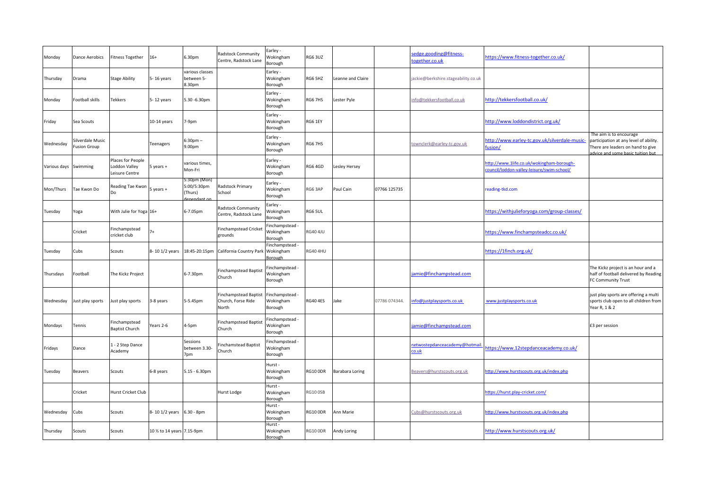| Monday                | <b>Dance Aerobics</b>                   | <b>Fitness Together</b>                              | $16+$                     | 6.30pm                                             | Radstock Community<br>Centre, Radstock Lan                  | Earley -<br>Wokingham<br>Borough        | RG6 3UZ         |                   |               | sedge.gooding@fitness-<br>ogether.co.uk       | https://www.fitness-together.co.uk/                                                     |                                                                                                                                            |
|-----------------------|-----------------------------------------|------------------------------------------------------|---------------------------|----------------------------------------------------|-------------------------------------------------------------|-----------------------------------------|-----------------|-------------------|---------------|-----------------------------------------------|-----------------------------------------------------------------------------------------|--------------------------------------------------------------------------------------------------------------------------------------------|
| Thursday              | Drama                                   | <b>Stage Ability</b>                                 | 5-16 years                | various classes<br>between 5-<br>8.30pm            |                                                             | Earley -<br>Wokingham<br>Borough        | RG6 5HZ         | Leanne and Claire |               | jackie@berkshire.stageability.co.uk           |                                                                                         |                                                                                                                                            |
| Monday                | <b>Football skills</b>                  | Tekkers                                              | 5-12 years                | 5.30 -6.30pm                                       |                                                             | Earley -<br>Wokingham<br>Borough        | RG6 7HS         | Lester Pyle       |               | info@tekkersfootball.co.uk                    | http://tekkersfootball.co.uk/                                                           |                                                                                                                                            |
| Friday                | Sea Scouts                              |                                                      | $10-14$ years             | 7-9pm                                              |                                                             | Earley -<br>Wokingham<br>Borough        | RG6 1EY         |                   |               |                                               | http://www.loddondistrict.org.uk/                                                       |                                                                                                                                            |
| Wednesday             | Silverdale Music<br><b>Fusion Group</b> |                                                      | Teenagers                 | $5:30pm -$<br>9.00pm                               |                                                             | Earley -<br>Wokingham<br>Borough        | RG6 7HS         |                   |               | townclerk@earley-tc.gov.uk                    | http://www.earley-tc.gov.uk/silverdale-music-<br>usion/                                 | The aim is to encourage<br>participation at any level of ability.<br>There are leaders on hand to give<br>dvice and some basic tuition but |
| Various days Swimming |                                         | Places for People<br>Loddon Valley<br>Leisure Centre | 5 years +                 | various times,<br>Mon-Fri                          |                                                             | Earley -<br>Wokingham<br>Borough        | RG6 4GD         | Lesley Hersey     |               |                                               | http://www.1life.co.uk/wokingham-borough-<br>council/loddon-valley-leisure/swim-school/ |                                                                                                                                            |
| Mon/Thurs             | Tae Kwon Do                             | Reading Tae Kwon<br>Do                               | years +                   | 5:30pm (Mon)<br>5:00/5:30pm<br>Thurs)<br>nendant o | Radstock Primary<br>School                                  | Earley -<br>Wokingham<br>Borough        | RG6 3AP         | Paul Cain         | 07766 125735  |                                               | reading-tkd.com                                                                         |                                                                                                                                            |
| Tuesday               | Yoga                                    | With Julie for Yoga 16+                              |                           | 6-7.05pm                                           | <b>Radstock Community</b><br>Centre, Radstock Lane          | Earley -<br>Wokingham<br>Borough        | RG6 5UL         |                   |               |                                               | https://withjulieforyoga.com/group-classes/                                             |                                                                                                                                            |
|                       | Cricket                                 | Finchampstead<br>cricket club                        |                           |                                                    | <b>Finchampstead Cricket</b><br>grounds                     | Finchampstead -<br>Wokingham<br>Borough | <b>RG40 4JU</b> |                   |               |                                               | https://www.finchampsteadcc.co.uk/                                                      |                                                                                                                                            |
| Tuesday               | Cubs                                    | Scouts                                               | 8-10 1/2 years            | 18:45-20:15pm                                      | California Country Park                                     | Finchampstead<br>Wokingham<br>Borough   | <b>RG40 4HU</b> |                   |               |                                               | https://1finch.org.uk/                                                                  |                                                                                                                                            |
| Thursdays             | Football                                | The Kickz Project                                    |                           | 6-7.30pm                                           | <b>Finchampstead Baptist</b><br>Church                      | Finchampstead -<br>Wokingham<br>Borough |                 |                   |               | amie@finchampstead.com                        |                                                                                         | The Kickz project is an hour and a<br>half of football delivered by Reading<br>FC Community Trust                                          |
| Wednesday             | Just play sports                        | lust play sports                                     | 3-8 years                 | 5-5.45pm                                           | <b>Finchampstead Baptist</b><br>Church, Forse Ride<br>North | Finchampstead -<br>Wokingham<br>Borough | <b>RG40 4ES</b> | Jake              | 07786 074344. | nfo@justplaysports.co.uk                      | www.justplaysports.co.uk                                                                | just play sports are offering a multi<br>sports club open to all children from<br>Year R, 1 & 2                                            |
| Mondays               | Tennis                                  | Finchampstead<br><b>Baptist Church</b>               | Years 2-6                 | 4-5pm                                              | <b>Finchampstead Baptis</b><br>Church                       | Finchampstead -<br>Wokingham<br>Borough |                 |                   |               | amie@finchampstead.com                        |                                                                                         | £3 per session                                                                                                                             |
| Fridays               | Dance                                   | 1 - 2 Step Dance<br>Academy                          |                           | Sessions<br>between 3.30-<br>7pm                   | inchamstead Baptist<br>Church                               | Finchampstead -<br>Wokingham<br>Borough |                 |                   |               | netwostepdanceacademy@hotmail<br><u>:o.uk</u> | https://www.12stepdanceacademy.co.uk/                                                   |                                                                                                                                            |
| Tuesday               | Beavers                                 | Scouts                                               | 6-8 years                 | $5.15 - 6.30$ pm                                   |                                                             | Hurst -<br>Wokingham<br>Borough         | RG10 ODR        | Barabara Loring   |               | Beavers@hurstscouts.org.uk                    | http://www.hurstscouts.org.uk/index.php                                                 |                                                                                                                                            |
|                       | Cricket                                 | Hurst Cricket Club                                   |                           |                                                    | Hurst Lodge                                                 | Hurst -<br>Wokingham<br>Borough         | <b>RG10 OSB</b> |                   |               |                                               | https://hurst.play-cricket.com/                                                         |                                                                                                                                            |
| Wednesday             | Cubs                                    | Scouts                                               | 8-101/2 years 6.30 - 8pm  |                                                    |                                                             | Hurst -<br>Wokingham<br>Borough         | RG10 ODR        | Ann Marie         |               | Cubs@hurstscouts.org.uk                       | http://www.hurstscouts.org.uk/index.php                                                 |                                                                                                                                            |
| Thursday              | Scouts                                  | Scouts                                               | 10 % to 14 years 7.15-9pm |                                                    |                                                             | Hurst -<br>Wokingham<br>Borough         | RG10 ODR        | Andy Loring       |               |                                               | http://www.hurstscouts.org.uk/                                                          |                                                                                                                                            |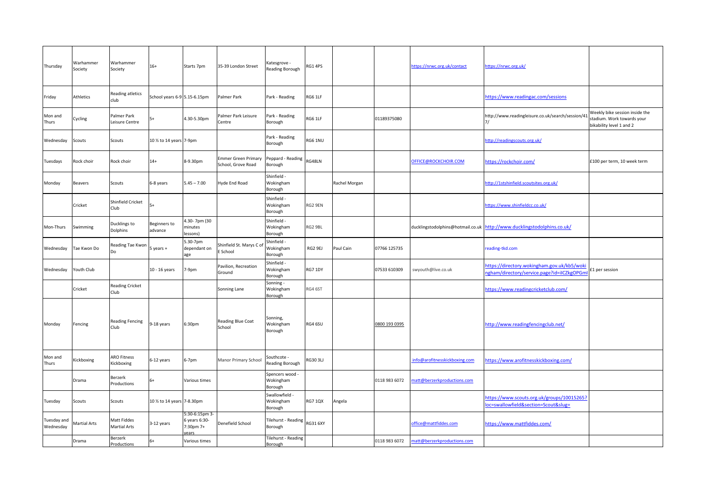| Thursday                 | Warhammer<br>Society | Warhammer<br>Society               | $16+$                        | Starts 7pm                                   | 35-39 London Street                              | <atesgrove -<br=""><b>Reading Borough</b></atesgrove> | <b>RG1 4PS</b>  |               |               | https://nrwc.org.uk/contact   | https://nrwc.org.uk/                                                                     |                                                                                          |
|--------------------------|----------------------|------------------------------------|------------------------------|----------------------------------------------|--------------------------------------------------|-------------------------------------------------------|-----------------|---------------|---------------|-------------------------------|------------------------------------------------------------------------------------------|------------------------------------------------------------------------------------------|
| Friday                   | Athletics            | Reading atletics<br>club           | School years 6-9 5.15-6.15pm |                                              | Palmer Park                                      | Park - Reading                                        | RG6 1LF         |               |               |                               | https://www.readingac.com/sessions                                                       |                                                                                          |
| Mon and<br>Thurs         | Cycling              | Palmer Park<br>Leisure Centre      |                              | 4.30-5.30pm                                  | Palmer Park Leisure<br>Centre                    | Park - Reading<br>Borough                             | RG6 1LF         |               | 01189375080   |                               | http://www.readingleisure.co.uk/search/session/41                                        | Weekly bike session inside the<br>stadium. Work towards your<br>bikability level 1 and 2 |
| Wednesday                | Scouts               | Scouts                             | 10 % to 14 years 7-9pm       |                                              |                                                  | Park - Reading<br>Borough                             | RG6 1NU         |               |               |                               | http://readingscouts.org.uk/                                                             |                                                                                          |
| Tuesdays                 | Rock choir           | Rock choir                         | $14+$                        | 8-9.30pm                                     | <b>Emmer Green Primary</b><br>School, Grove Road | Peppard - Reading<br>Borough                          | <b>RG48LN</b>   |               |               | OFFICE@ROCKCHOIR.COM          | https://rockchoir.com/                                                                   | £100 per term, 10 week term                                                              |
| Monday                   | Beavers              | Scouts                             | 6-8 years                    | $5.45 - 7.00$                                | Hyde End Road                                    | Shinfield -<br>Wokingham<br>Borough                   |                 | Rachel Morgan |               |                               | http://1stshinfield.scoutsites.org.uk/                                                   |                                                                                          |
|                          | Cricket              | Shinfield Cricket<br>Club          |                              |                                              |                                                  | Shinfield -<br>Wokingham<br>Borough                   | RG2 9EN         |               |               |                               | https://www.shinfieldcc.co.uk/                                                           |                                                                                          |
| Mon-Thurs                | Swimming             | Ducklings to<br>Dolphins           | Beginners to<br>advance      | 4.30-7pm (30<br>minutes<br>lessons)          |                                                  | Shinfield -<br>Wokingham<br>Borough                   | RG2 9BL         |               |               |                               | ducklingstodolphins@hotmail.co.uk http://www.ducklingstodolphins.co.uk/                  |                                                                                          |
| Wednesday                | Tae Kwon Do          | Reading Tae Kwon                   | years +                      | 5.30-7pm<br>dependant on<br>age              | Shinfield St. Marys C of<br>School               | Shinfield -<br>Wokingham<br>Borough                   | RG2 9EJ         | Paul Cain     | 07766 125735  |                               | reading-tkd.com                                                                          |                                                                                          |
| Wednesday                | Youth Club           |                                    | 10 - 16 years                | 7-9pm                                        | Pavilion, Recreation<br>Ground                   | Shinfield -<br>Wokingham<br>Borough                   | RG7 1DY         |               | 07533 610309  | swyouth@live.co.uk            | https://directory.wokingham.gov.uk/kb5/wok<br>ngham/directory/service.page?id=iICZkgOPGn | £1 per session                                                                           |
|                          | Cricket              | <b>Reading Cricket</b><br>Club     |                              |                                              | Sonning Lane                                     | Sonning -<br>Wokingham<br>Borough                     | RG4 6ST         |               |               |                               | https://www.readingcricketclub.com/                                                      |                                                                                          |
| Monday                   | Fencing              | <b>Reading Fencing</b><br>Club     | 9-18 years                   | 6:30pm                                       | <b>Reading Blue Coat</b><br>School               | Sonning,<br>Wokingham<br>Borough                      | RG4 6SU         |               | 0800 193 0395 |                               | http://www.readingfencingclub.net/                                                       |                                                                                          |
| Mon and<br>Thurs         | Kickboxing           | <b>ARO Fitness</b><br>Kickboxing   | 6-12 years                   | 6-7pm                                        | Manor Primary School                             | Southcote -<br><b>Reading Borough</b>                 | RG30 3LJ        |               |               | info@arofitnesskickboxing.com | https://www.arofitnesskickboxing.com/                                                    |                                                                                          |
|                          | Drama                | Berzerk<br>Productions             | $6+$                         | Various times                                |                                                  | Spencers wood<br>Wokingham<br>Borough                 |                 |               | 0118 983 6072 | natt@berzerkproductions.com   |                                                                                          |                                                                                          |
| Tuesday                  | Scouts               | Scouts                             | 10 % to 14 years 7-8.30pm    |                                              |                                                  | Swallowfield -<br>Wokingham<br>Borough                | <b>RG7 1QX</b>  | Angela        |               |                               | https://www.scouts.org.uk/groups/10015265?<br>oc=swallowfield&section=Scout&slug=        |                                                                                          |
| Tuesday and<br>Wednesday | <b>Martial Arts</b>  | Matt Fiddes<br><b>Martial Arts</b> | 3-12 years                   | 5:30-6:15pm 3-<br>6 years 6:30-<br>7:30pm 7+ | Denefield School                                 | Tilehurst - Reading<br>Borough                        | <b>RG31 6XY</b> |               |               | office@mattfiddes.com         | https://www.mattfiddes.com/                                                              |                                                                                          |
|                          | Drama                | Berzerk<br>Productions             | $6+$                         | Various times                                |                                                  | <b>Tilehurst - Reading</b><br>Borough                 |                 |               | 0118 983 6072 | natt@berzerkproductions.com   |                                                                                          |                                                                                          |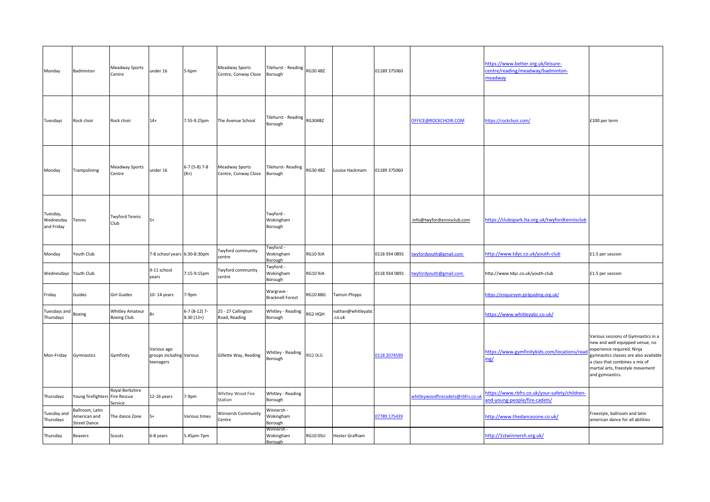| Monday                              | Badminton                                              | Meadway Sports<br>Centre                        | under 16                                             | 5-6pm                         | Meadway Sports<br>Centre, Conway Close | Tilehurst - Reading RG30 4BZ<br>Borough |                 |                             | 01189 375060  |                                   | https://www.better.org.uk/leisure-<br>centre/reading/meadway/badminton-<br>meadway |                                                                                                                                                                                                                                       |
|-------------------------------------|--------------------------------------------------------|-------------------------------------------------|------------------------------------------------------|-------------------------------|----------------------------------------|-----------------------------------------|-----------------|-----------------------------|---------------|-----------------------------------|------------------------------------------------------------------------------------|---------------------------------------------------------------------------------------------------------------------------------------------------------------------------------------------------------------------------------------|
| Tuesdays                            | Rock choir                                             | Rock choir                                      | $14+$                                                | 7.55-9.25pm                   | The Avenue School                      | Tilehurst - Reading<br>Borough          | <b>RG304BZ</b>  |                             |               | OFFICE@ROCKCHOIR.COM              | https://rockchoir.com/                                                             | £100 per term                                                                                                                                                                                                                         |
| Monday                              | Trampolining                                           | Meadway Sports<br>Centre                        | under 16                                             | $6-7(5-8)$ 7-8<br>$(8+)$      | Meadway Sports<br>Centre, Conway Close | <b>Tilehurst-Reading</b><br>Borough     | RG30 4BZ        | Louise Hackmam              | 01189 375060  |                                   |                                                                                    |                                                                                                                                                                                                                                       |
| Tuesday,<br>Wednesday<br>and Friday | Tennis                                                 | <b>Twyford Tennis</b><br>Club                   | $5+$                                                 |                               |                                        | Twyford -<br>Wokingham<br>Borough       |                 |                             |               | info@twyfordtennisclub.com        | https://clubspark.lta.org.uk/twyfordtennisclub                                     |                                                                                                                                                                                                                                       |
| Monday                              | Youth Club                                             |                                                 | 7-8 school years 6:30-8:30pm                         |                               | Twyford community<br>centre            | Twyford -<br>Wokingham<br>Borough       | <b>RG10 9JA</b> |                             | 0118 934 0891 | wyfordyouth@gmail.com             | http://www.tdyc.co.uk/youth-club                                                   | £1.5 per session                                                                                                                                                                                                                      |
| Wednesdays Youth Club               |                                                        |                                                 | 9-11 school<br>years                                 | 7:15-9:15pm                   | wyford community<br>entre              | Twyford -<br>Wokingham<br>Borough       | <b>RG10 9JA</b> |                             | 0118 934 0891 | wyfordyouth@gmail.com             | http://www.tdyc.co.uk/youth-club                                                   | £1.5 per session                                                                                                                                                                                                                      |
| Friday                              | Guides                                                 | <b>Girl Guides</b>                              | 10-14 years                                          | 7-9pm                         |                                        | Wargrave -<br><b>Bracknell Forest</b>   | <b>RG10 8BG</b> | <b>Tamsin Phipps</b>        |               |                                   | https://enquiryym.girlguiding.org.uk/                                              |                                                                                                                                                                                                                                       |
| Tuesdays and<br>Thursdays           | Boxing                                                 | <b>Whitley Amateur</b><br><b>Boxing Club</b>    | $R+$                                                 | $6-7(8-12)$ 7-<br>$8.30(13+)$ | 25 - 27 Callington<br>Road, Reading    | Whitley - Reading<br>Borough            | RG2 HQH         | nathan@whitleyabc<br>.co.uk |               |                                   | https://www.whitleyabc.co.uk/                                                      |                                                                                                                                                                                                                                       |
| Mon-Friday                          | Gymnastics                                             | Gymfinity                                       | Various age<br>groups including Various<br>teenagers |                               | Gillette Way, Reading                  | Whitley - Reading<br>Borough            | RG2 OLG         |                             | 0118 2074590  |                                   | https://www.gymfinitykids.com/locations/rea<br>ing/                                | Various sessions of Gymnastics in a<br>new and well equipped venue, no<br>experience required. Ninja<br>ymnasitcs classes are also available<br>a class that combines a mix of<br>martial arts, freestyle movement<br>and gymnastics. |
| Thursdays                           | Young firefighters                                     | Royal Berkshire<br><b>Fire Rescue</b><br>ervice | 12-16 years                                          | 7-9pm                         | Whitley Wood Fire<br>Station           | Whitley - Reading<br>Borough            |                 |                             |               | whitleywoodfirecadets@rbfrs.co.uk | https://www.rbfrs.co.uk/your-safety/children-<br>and-young-people/fire-cadets/     |                                                                                                                                                                                                                                       |
| <b>Tuesday</b> and<br>Thursdays     | Ballroom, Latin<br>American and<br><b>Street Dance</b> | The dance Zone                                  | $5+$                                                 | Various times                 | Winnersh Community<br>Centre           | Winnersh -<br>Wokingham<br>Borough      |                 |                             | 07789 175439  |                                   | http://www.thedancezone.co.uk/                                                     | Freestyle, ballroom and latin<br>american dance for all abilities                                                                                                                                                                     |
| Thursday                            | <b>Beavers</b>                                         | Scouts                                          | 6-8 years                                            | 5.45pm-7pm                    |                                        | Winnersh -<br>Wokingham<br>Borough      | <b>RG10 0SU</b> | Hester Grafham              |               |                                   | http://1stwinnersh.org.uk/                                                         |                                                                                                                                                                                                                                       |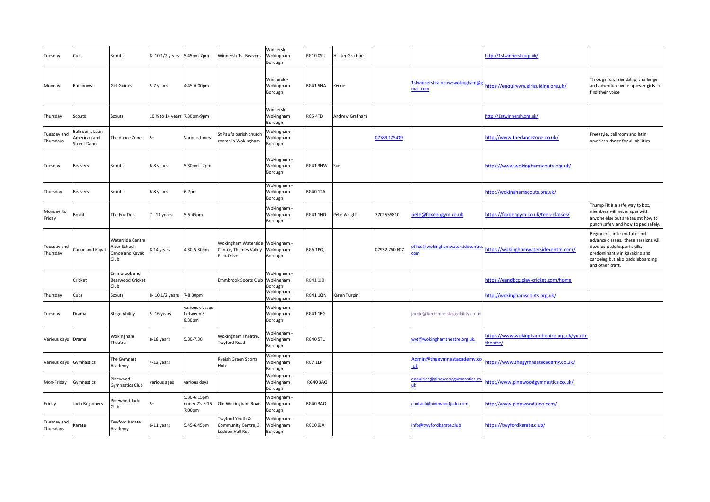| Tuesday                  | Cubs                                                   | Scouts                                                             | 8-10 1/2 years                | 5.45pm-7pm                               | Winnersh 1st Beavers                                       | Winnersh -<br>Wokingham<br>Borough         | <b>RG10 0SU</b> | Hester Grafham |               |                                            | http://1stwinnersh.org.uk/                            |                                                                                                                                                                                             |
|--------------------------|--------------------------------------------------------|--------------------------------------------------------------------|-------------------------------|------------------------------------------|------------------------------------------------------------|--------------------------------------------|-----------------|----------------|---------------|--------------------------------------------|-------------------------------------------------------|---------------------------------------------------------------------------------------------------------------------------------------------------------------------------------------------|
| Monday                   | Rainbows                                               | <b>Girl Guides</b>                                                 | 5-7 years                     | 4:45-6:00pm                              |                                                            | Winnersh -<br>Wokingham<br>Borough         | <b>RG41 5NA</b> | Kerrie         |               | 1stwinnershrainbowswokingham@g<br>nail.com | https://enquiryym.girlguiding.org.uk/                 | Through fun, friendship, challenge<br>and adventure we empower girls to<br>find their voice                                                                                                 |
| Thursday                 | Scouts                                                 | Scouts                                                             | 10 1/2 to 14 years 7.30pm-9pm |                                          |                                                            | Winnersh -<br>Wokingham<br>Borough         | RG5 4TD         | Andrew Grafham |               |                                            | http://1stwinnersh.org.uk/                            |                                                                                                                                                                                             |
| Tuesday and<br>Thursdays | Ballroom, Latin<br>American and<br><b>Street Dance</b> | The dance Zone                                                     | 5+                            | Various times                            | St Paul's parish church<br>ooms in Wokingham               | Wokingham -<br><b>Nokingham</b><br>Borough |                 |                | 07789 175439  |                                            | http://www.thedancezone.co.uk/                        | Freestyle, ballroom and latin<br>american dance for all abilities                                                                                                                           |
| Tuesday                  | <b>Beavers</b>                                         | Scouts                                                             | 6-8 years                     | 5.30pm - 7pm                             |                                                            | Wokingham -<br>Wokingham<br>Borough        | RG41 3HW        | Sue            |               |                                            | https://www.wokinghamscouts.org.uk/                   |                                                                                                                                                                                             |
| Thursday                 | <b>Beavers</b>                                         | Scouts                                                             | 6-8 years                     | 6-7pm                                    |                                                            | Wokingham<br>Wokingham<br>Borough          | <b>RG40 1TA</b> |                |               |                                            | http://wokinghamscouts.org.uk/                        |                                                                                                                                                                                             |
| Monday to<br>Friday      | Boxfit                                                 | The Fox Den                                                        | $7 - 11$ years                | 5-5:45pm                                 |                                                            | Wokingham -<br>Wokingham<br>Borough        | <b>RG41 1HD</b> | Pete Wright    | 7702559810    | bete@foxdengym.co.uk                       | https://foxdengym.co.uk/teen-classes/                 | Thump Fit is a safe way to box,<br>members will never spar with<br>anyone else but are taught how to<br>punch safely and how to pad safely.                                                 |
| Tuesday and<br>Thursday  | Canoe and Kayak                                        | <b>Waterside Centre</b><br>After School<br>Canoe and Kayak<br>Club | 8-14 years                    | 4.30-5.30pm                              | Wokingham Waterside<br>Centre, Thames Valley<br>Park Drive | Wokingham -<br>Wokingham<br>Borough        | RG6 1PQ         |                | 07932 760 607 | ffice@wokinghamwatersidecentre<br>:om      | https://wokinghamwatersidecentre.com/                 | Beginners, intermidiate and<br>advance classes. these sessions will<br>develop paddlesport skills,<br>predominantly in kayaking and<br>canoeing but also paddleboarding<br>and other craft. |
|                          | Cricket                                                | Emmbrook and<br><b>Bearwood Cricket</b><br>Club                    |                               |                                          | Emmbrook Sports Club                                       | Wokingham -<br>Wokingham<br>3orough        | <b>RG41 1JB</b> |                |               |                                            | nttps://eandbcc.play-cricket.com/home                 |                                                                                                                                                                                             |
| Thursday                 | Cubs                                                   | Scouts                                                             | 8-10 1/2 years                | 7-8.30pm                                 |                                                            | Wokingham -<br>Wokingham                   | <b>RG41 1QN</b> | Karen Turpin   |               |                                            | http://wokinghamscouts.org.uk/                        |                                                                                                                                                                                             |
| Tuesday                  | Drama                                                  | <b>Stage Ability</b>                                               | 5-16 years                    | various classes<br>between 5-<br>8.30pm  |                                                            | Wokingham -<br>Wokingham<br>Borough        | <b>RG41 1EG</b> |                |               | jackie@berkshire.stageability.co.uk        |                                                       |                                                                                                                                                                                             |
| Various days Drama       |                                                        | Wokingham<br>Theatre                                               | 8-18 years                    | 5.30-7.30                                | Wokingham Theatre,<br><b>Twyford Road</b>                  | Wokingham ·<br>Wokingham<br>Borough        | <b>RG40 5TU</b> |                |               | wyt@wokinghamtheatre.org.uk                | https://www.wokinghamtheatre.org.uk/youth-<br>heatre/ |                                                                                                                                                                                             |
| Various days Gymnastics  |                                                        | The Gymnast<br>Academy                                             | 4-12 years                    |                                          | Ryeish Green Sports<br>Hub                                 | Wokingham -<br>Wokingham<br>Borough        | RG7 1EP         |                |               | Admin@thegymnastacademy.co<br>uk           | https://www.thegymnastacademy.co.uk/                  |                                                                                                                                                                                             |
| Mon-Friday               | Gymnastics                                             | <sup>2</sup> inewood<br><b>Gymnastics Club</b>                     | various ages                  | various days                             |                                                            | Wokingham -<br>Wokingham<br>Borough        | <b>RG40 3AQ</b> |                |               | enquiries@pinewoodgymnastics.co<br>ık.     | http://www.pinewoodgymnastics.co.uk/                  |                                                                                                                                                                                             |
| Friday                   | Judo Beginners                                         | Pinewood Judo<br>Club                                              | $5+$                          | 5.30-6:15pm<br>under 7's 6:15-<br>7:00pm | Old Wokingham Road                                         | Wokingham -<br>Wokingham<br>Borough        | <b>RG40 3AQ</b> |                |               | contact@pinewoodjudo.com                   | http://www.pinewoodjudo.com/                          |                                                                                                                                                                                             |
| Tuesday and<br>Thursdays | Karate                                                 | <b>Twyford Karate</b><br>Academy                                   | 6-11 years                    | 5.45-6.45pm                              | Wyford Youth &<br>Community Centre, 3<br>Loddon Hall Rd,   | Wokingham -<br>Wokingham<br>Borough        | <b>RG10 9JA</b> |                |               | info@twyfordkarate.club                    | https://twyfordkarate.club/                           |                                                                                                                                                                                             |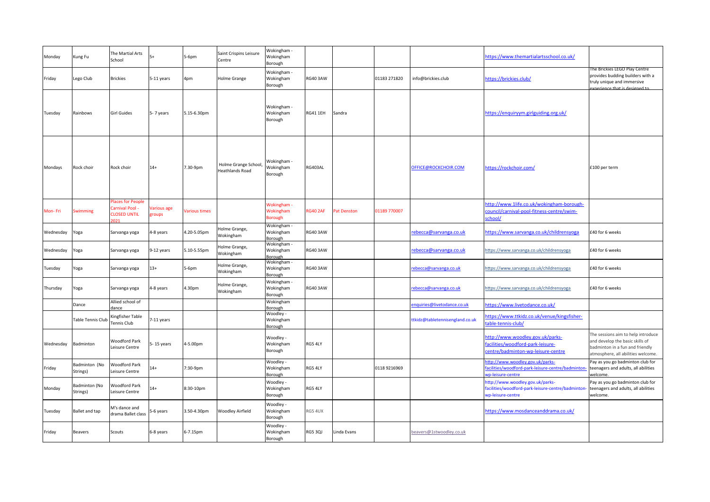| Monday    | Kung Fu                   | The Martial Arts<br>School                                | $5+$                         | 5-6pm         | Saint Crispins Leisure<br>Centre               | Wokingham -<br>Wokingham<br>Borough        |                 |             |              |                                 | https://www.themartialartsschool.co.uk/                                                                     |                                                                                                                                                |
|-----------|---------------------------|-----------------------------------------------------------|------------------------------|---------------|------------------------------------------------|--------------------------------------------|-----------------|-------------|--------------|---------------------------------|-------------------------------------------------------------------------------------------------------------|------------------------------------------------------------------------------------------------------------------------------------------------|
| Friday    | Lego Club                 | <b>Brickies</b>                                           | 5-11 years                   | 4pm           | Holme Grange                                   | Wokingham -<br>Wokingham<br>Borough        | <b>RG40 3AW</b> |             | 01183 271820 | info@brickies.club              | https://brickies.club/                                                                                      | The Brickies LEGO Play Centre<br>provides budding builders with a<br>truly unique and immersive<br>wnerience that is designed to               |
| Tuesday   | Rainbows                  | <b>Girl Guides</b>                                        | 5-7 years                    | 5.15-6.30pm   |                                                | Wokingham -<br>Wokingham<br>Borough        | RG41 1EH        | Sandra      |              |                                 | https://enguiryym.girlguiding.org.uk/                                                                       |                                                                                                                                                |
| Mondays   | Rock choir                | Rock choir                                                | $14+$                        | 7.30-9pm      | Holme Grange School,<br><b>Heathlands Road</b> | Wokingham -<br>Wokingham<br>Borough        | RG403AL         |             |              | OFFICE@ROCKCHOIR.COM            | https://rockchoir.com/                                                                                      | £100 per term                                                                                                                                  |
| Mon-Fri   | <b>Swimming</b>           | Places for People<br>Carnival Pool<br><b>CLOSED UNTIL</b> | <b>Various age</b><br>groups | Various times |                                                | Wokingham -<br>Wokingham<br><b>Borough</b> | <b>RG40 2AF</b> | Pat Denston | 01189 770007 |                                 | http://www.1life.co.uk/wokingham-borough-<br>council/carnival-pool-fitness-centre/swim-<br>school/          |                                                                                                                                                |
| Wednesday | Yoga                      | Sarvanga yoga                                             | 4-8 years                    | 4.20-5.05pm   | Holme Grange,<br>Wokingham                     | Wokingham -<br>Wokingham<br>Borough        | RG40 3AW        |             |              | rebecca@sarvanga.co.uk          | https://www.sarvanga.co.uk/childrensyoga                                                                    | £40 for 6 weeks                                                                                                                                |
| Wednesday | Yoga                      | Sarvanga yoga                                             | 9-12 years                   | 5.10-5.55pm   | Holme Grange,<br>Wokingham                     | Wokingham -<br>Wokingham<br>Borough        | <b>RG40 3AW</b> |             |              | rebecca@sarvanga.co.uk          | https://www.sarvanga.co.uk/childrensyoga                                                                    | £40 for 6 weeks                                                                                                                                |
| Tuesday   | Yoga                      | Sarvanga yoga                                             | $13+$                        | $5-6$ pm      | Holme Grange,<br>Wokingham                     | Wokingham -<br>Wokingham<br>Borough        | <b>RG40 3AW</b> |             |              | ebecca@sarvanga.co.uk           | https://www.sarvanga.co.uk/childrensyoga                                                                    | £40 for 6 weeks                                                                                                                                |
| Thursday  | Yoga                      | Sarvanga yoga                                             | 4-8 years                    | 4.30pm        | Holme Grange,<br>Wokingham                     | Wokingham -<br>Wokingham<br>Borough        | RG40 3AW        |             |              | rebecca@sarvanga.co.uk          | https://www.sarvanga.co.uk/childrensyoga                                                                    | £40 for 6 weeks                                                                                                                                |
|           | Dance                     | Allied school of<br>dance                                 |                              |               |                                                | Wokingham<br>Borough                       |                 |             |              | nquiries@livetodance.co.uk      | https://www.livetodance.co.uk/                                                                              |                                                                                                                                                |
|           | <b>Table Tennis Club</b>  | Kingfisher Table<br>Tennis Club                           | -11 years                    |               |                                                | Woodley -<br>Wokingham<br>Borough          |                 |             |              | ttkidz@tabletennisengland.co.uk | https://www.ttkidz.co.uk/venue/kingsfisher-<br>table-tennis-club/                                           |                                                                                                                                                |
| Wednesday | Badminton                 | <b>Woodford Park</b><br>Leisure Centre                    | 5-15 years                   | 1-5.00pm      |                                                | Woodley -<br>Wokingham<br>Borough          | RG5 4LY         |             |              |                                 | http://www.woodley.gov.uk/parks-<br>facilities/woodford-park-leisure-<br>centre/badminton-wp-leisure-centre | The sessions aim to help introduce<br>and develop the basic skills of<br>badminton in a fun and friendly<br>atmosphere, all abilities welcome. |
| Friday    | Badminton (No<br>Strings) | <b>Woodford Park</b><br>Leisure Centre                    | $14+$                        | 7:30-9pm      |                                                | Woodley -<br>Wokingham<br>Borough          | RG5 4LY         |             | 0118 9216969 |                                 | http://www.woodley.gov.uk/parks-<br>facilities/woodford-park-leisure-centre/badmintor<br>vp-leisure-centre  | Pay as you go badminton club for<br>teenagers and adults, all abilities<br>welcome.                                                            |
| Monday    | Badminton (No<br>Strings) | <b>Woodford Park</b><br>Leisure Centre                    | $14+$                        | 8:30-10pm     |                                                | Woodley -<br>Wokingham<br>Borough          | RG5 4LY         |             |              |                                 | http://www.woodley.gov.uk/parks-<br>facilities/woodford-park-leisure-centre/badmintor<br>wp-leisure-centre  | Pay as you go badminton club for<br>teenagers and adults, all abilities<br>welcome.                                                            |
| Tuesday   | Ballet and tap            | M's dance and<br>drama Ballet class                       | 5-6 years                    | 3.50-4.30pm   | <b>Woodley Airfield</b>                        | Woodley -<br>Wokingham<br>Borough          | RG5 4UX         |             |              |                                 | https://www.mosdanceanddrama.co.uk/                                                                         |                                                                                                                                                |
| Friday    | <b>Beavers</b>            | Scouts                                                    | 6-8 years                    | 6-7.15pm      |                                                | Woodley -<br>Wokingham<br>Borough          | <b>RG5 3QJ</b>  | Linda Evans |              | beavers@1stwoodley.co.uk        |                                                                                                             |                                                                                                                                                |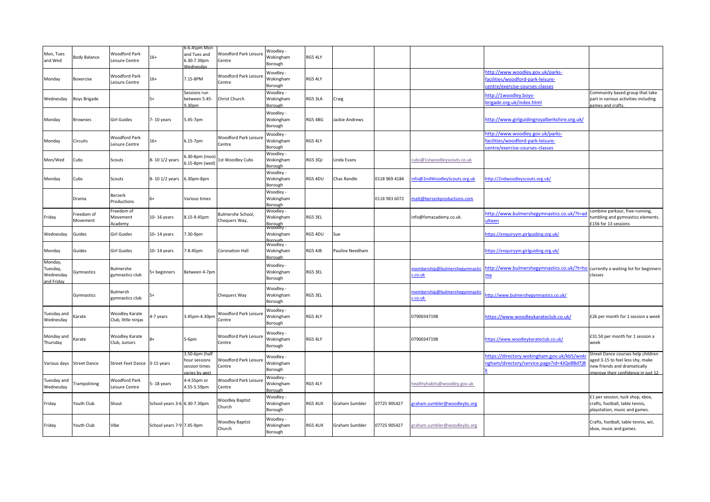|                                                |                                                                                                                                                                                                                                                                                                                                                  |                                        |                              | 6-6.45pm Mon                                                      |                                           |                                   |                |                 |               |                                         |                                                                                                        |                                                                                                                                             |
|------------------------------------------------|--------------------------------------------------------------------------------------------------------------------------------------------------------------------------------------------------------------------------------------------------------------------------------------------------------------------------------------------------|----------------------------------------|------------------------------|-------------------------------------------------------------------|-------------------------------------------|-----------------------------------|----------------|-----------------|---------------|-----------------------------------------|--------------------------------------------------------------------------------------------------------|---------------------------------------------------------------------------------------------------------------------------------------------|
| Mon, Tues<br>and Wed                           | <b>Body Balance</b>                                                                                                                                                                                                                                                                                                                              | <b>Noodford Park</b><br>Leisure Centre | $16+$                        | and Tues and<br>6.30-7.30pm<br>dednesda                           | Woodford Park Leisur<br>Centre            | Woodley -<br>Wokingham<br>Borough | RG5 4LY        |                 |               |                                         |                                                                                                        |                                                                                                                                             |
| Monday                                         | Boxercise                                                                                                                                                                                                                                                                                                                                        | Woodford Park<br>Leisure Centre        | $16+$                        | 7.15-8PM                                                          | Woodford Park Leisure<br>Centre           | Woodley -<br>Wokingham<br>Borough | RG5 4LY        |                 |               |                                         | http://www.woodley.gov.uk/parks-<br>acilities/woodford-park-leisure-<br>entre/exercise-courses-classes |                                                                                                                                             |
| Wednesday                                      | Boys Brigade                                                                                                                                                                                                                                                                                                                                     |                                        | $5+$                         | Sessions run<br>between 5.45-<br>9.30pm                           | Christ Church                             | Woodley ·<br>Wokingham<br>Borough | RG5 3LA        | Craig           |               |                                         | http://1woodley.boys-<br>brigade.org.uk/index.html                                                     | Community based group that take<br>part in various activities including<br>games and crafts.                                                |
| Monday                                         | <b>Brownies</b>                                                                                                                                                                                                                                                                                                                                  | Girl Guides                            | 7-10 years                   | 5.45-7pm                                                          |                                           | Woodley -<br>Wokingham<br>Borough | RG5 4BG        | lackie Andrews  |               |                                         | http://www.girlguidingroyalberkshire.org.uk/                                                           |                                                                                                                                             |
| Monday                                         | Circuits                                                                                                                                                                                                                                                                                                                                         | Woodford Park<br>Leisure Centre        | $16+$                        | 6.15-7pm                                                          | Woodford Park Leisur<br>Centre            | Woodley -<br>Wokingham<br>Borough | RG5 4LY        |                 |               |                                         | http://www.woodley.gov.uk/parks-<br>acilities/woodford-park-leisure-<br>entre/exercise-courses-classes |                                                                                                                                             |
| Mon/Wed                                        | Cubs                                                                                                                                                                                                                                                                                                                                             | Scouts                                 | 8-10 1/2 years               | 5.30-8pm (mon<br>.15-8pm (wed)                                    | 1st Woodley Cubs                          | Woodley -<br>Wokingham<br>Borough | <b>RG5 3QJ</b> | Linda Evans     |               | cubs@1stwoodleyscouts.co.uk             |                                                                                                        |                                                                                                                                             |
| Monday                                         | Cubs                                                                                                                                                                                                                                                                                                                                             | Scouts                                 | 8-10 1/2 years               | 6.30pm-8pm                                                        |                                           | Woodley -<br>Wokingham<br>Borough | RG5 4DU        | Chas Randle     | 0118 969 4184 | nfo@2ndWoodleyScouts.org.uk             | http://2ndwoodleyscouts.org.uk/                                                                        |                                                                                                                                             |
|                                                | Drama                                                                                                                                                                                                                                                                                                                                            | Berzerk<br>Productions                 |                              | Various times                                                     |                                           | Woodley -<br>Wokingham<br>Borough |                |                 | 0118 983 6072 | natt@berzerkproductions.com             |                                                                                                        |                                                                                                                                             |
| Friday                                         | Freedom of<br>Movement                                                                                                                                                                                                                                                                                                                           | reedom of<br>Movement<br>Academy       | 10-16 years                  | 8.15-9.45pm                                                       | <b>Bulmershe School,</b><br>Chequers Way, | Woodley -<br>Wokingham<br>Borough | RG5 3EL        |                 |               | info@fomacademy.co.uk.                  | nttp://www.bulmershegymnastics.co.uk/?t=a<br>ulteen                                                    | combine parkour, free-running,<br>umbling and gymnastics elements.<br>£156 for 13 sessions                                                  |
| Wednesday                                      | Guides                                                                                                                                                                                                                                                                                                                                           | Girl Guides                            | 10-14 years                  | .30-9pm                                                           |                                           | Woodley -<br>Wokingham            | RG5 4DU        | Sue             |               |                                         | https://enquiryym.girlguiding.org.uk/                                                                  |                                                                                                                                             |
| Monday                                         | Guides                                                                                                                                                                                                                                                                                                                                           | <b>Girl Guides</b>                     | 10-14 years                  | -8.45pm                                                           | <b>Coronation Hall</b>                    | Woodley .<br>Wokingham<br>Borough | RG5 4JB        | Pauline Needham |               |                                         | https://enquiryym.girlguiding.org.uk/                                                                  |                                                                                                                                             |
| Monday,<br>Tuesday,<br>Wednesday<br>and Fridav | Gymnastics                                                                                                                                                                                                                                                                                                                                       | Bulmershe<br>gymnastics club           | 5+ beginners                 | Between 4-7pm                                                     |                                           | Woodley -<br>Wokingham<br>Borough | RG5 3EL        |                 |               | nembership@bulmershegymnastic<br>.co.uk | http://www.bulmershegymnastics.co.uk/?t=ho currently a waiting list for beginners<br>ne                | classes                                                                                                                                     |
|                                                | Gymnastics                                                                                                                                                                                                                                                                                                                                       | Bulmersh<br>zymnastics club            |                              |                                                                   | Chequers Way                              | Woodley -<br>Wokingham<br>Borough | RG5 3EL        |                 |               | membership@bulmershegymnastic<br>.co.uk | ttp://www.bulmershegymnastics.co.uk/                                                                   |                                                                                                                                             |
| Tuesday and<br>Wednesday                       | <arate< td=""><td>Woodley Karate<br/>Club, little ninjas</td><td>1-7 years</td><td>3.45pm-4.30pm</td><td>Woodford Park Leisur<br/>Centre</td><td>Woodley -<br/>Wokingham<br/>Borough</td><td>RG5 4LY</td><td></td><td></td><td>07900347198</td><td>https://www.woodleykarateclub.co.uk/</td><td>£26 per month for 1 session a week</td></arate<> | Woodley Karate<br>Club, little ninjas  | 1-7 years                    | 3.45pm-4.30pm                                                     | Woodford Park Leisur<br>Centre            | Woodley -<br>Wokingham<br>Borough | RG5 4LY        |                 |               | 07900347198                             | https://www.woodleykarateclub.co.uk/                                                                   | £26 per month for 1 session a week                                                                                                          |
| Monday and<br>Thursday                         | Karate                                                                                                                                                                                                                                                                                                                                           | Woodley Karate<br>Club, Juniors        |                              | 5-6pm                                                             | Woodford Park Leisure<br>Centre           | Woodley -<br>Wokingham<br>Borough | RG5 4LY        |                 |               | 07900347198                             | https://www.woodleykarateclub.co.uk/                                                                   | £31.50 per month for 1 session a<br>week                                                                                                    |
| Various days Street Dance                      |                                                                                                                                                                                                                                                                                                                                                  | Street Feet Dance 3-15 years           |                              | 3.50-6pm (half<br>hour sessions<br>session times<br>aries by age) | Woodford Park Leisure<br>Centre           | Woodley -<br>Wokingham<br>Borough |                |                 |               |                                         | https://directory.wokingham.gov.uk/kb5/wok<br>ngham/directory/service.page?id=4JQe8BdTjB               | Street Dance courses help children<br>aged 3-15 to feel less shy, make<br>ew friends and dramatically<br>morove their confidence in just 12 |
| Tuesday anc<br>Wednesday                       | rampolining                                                                                                                                                                                                                                                                                                                                      | <b>Woodford Park</b><br>Leisure Centre | 5-18 years                   | -4.55pm or<br>1.55-5.59pm                                         | Woodford Park Leisure<br>Centre           | Woodley -<br>Wokingham<br>Borough | RG5 4LY        |                 |               | healthyhabits@woodley.gov.uk            |                                                                                                        |                                                                                                                                             |
| Friday                                         | Youth Club                                                                                                                                                                                                                                                                                                                                       | Shout                                  | School years 3-6 6.30-7.30pm |                                                                   | Woodley Baptist<br>Church                 | Woodley -<br>Wokingham<br>Borough | RG5 4UX        | Graham Sumbler  | 07725 905427  | raham.sumbler@woodleybc.org             |                                                                                                        | £1 per session, tuck shop, xbox,<br>crafts, football, table tennis,<br>playstation, music and games.                                        |
| Friday                                         | Youth Club                                                                                                                                                                                                                                                                                                                                       | Vibe                                   | School years 7-9 7.45-9pm    |                                                                   | Woodley Baptist<br>Church                 | Woodley -<br>Wokingham<br>Borough | RG5 4UX        | Graham Sumbler  | 07725 905427  | graham.sumbler@woodleybc.org            |                                                                                                        | Crafts, football, table tennis, wii,<br>xbox, music and games.                                                                              |